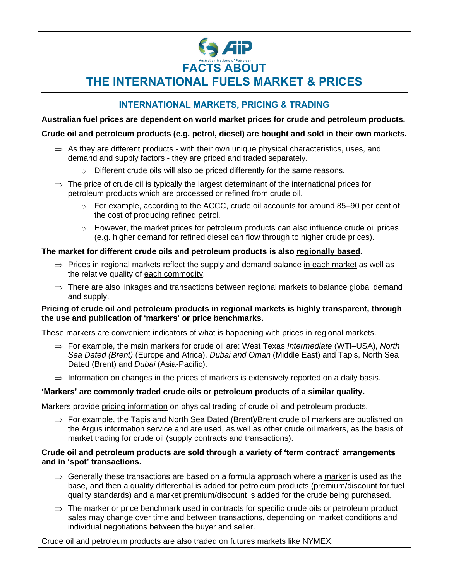# **Aip FACTS ABOUT**

**THE INTERNATIONAL FUELS MARKET & PRICES**

## **INTERNATIONAL MARKETS, PRICING & TRADING**

**Australian fuel prices are dependent on world market prices for crude and petroleum products.**

#### **Crude oil and petroleum products (e.g. petrol, diesel) are bought and sold in their own markets.**

- $\Rightarrow$  As they are different products with their own unique physical characteristics, uses, and demand and supply factors - they are priced and traded separately.
	- $\circ$  Different crude oils will also be priced differently for the same reasons.
- $\Rightarrow$  The price of crude oil is typically the largest determinant of the international prices for petroleum products which are processed or refined from crude oil.
	- o For example, according to the ACCC, crude oil accounts for around 85–90 per cent of the cost of producing refined petrol*.*
	- $\circ$  However, the market prices for petroleum products can also influence crude oil prices (e.g. higher demand for refined diesel can flow through to higher crude prices).

## **The market for different crude oils and petroleum products is also regionally based.**

- $\Rightarrow$  Prices in regional markets reflect the supply and demand balance in each market as well as the relative quality of each commodity.
- $\Rightarrow$  There are also linkages and transactions between regional markets to balance global demand and supply.

#### **Pricing of crude oil and petroleum products in regional markets is highly transparent, through the use and publication of 'markers' or price benchmarks.**

These markers are convenient indicators of what is happening with prices in regional markets.

- For example, the main markers for crude oil are: West Texas *Intermediate* (WTI–USA), *North Sea Dated (Brent)* (Europe and Africa), *Dubai and Oman* (Middle East) and Tapis, North Sea Dated (Brent) and *Dubai* (Asia-Pacific).
- $\Rightarrow$  Information on changes in the prices of markers is extensively reported on a daily basis.

## **'Markers' are commonly traded crude oils or petroleum products of a similar quality.**

Markers provide pricing information on physical trading of crude oil and petroleum products.

 $\Rightarrow$  For example, the Tapis and North Sea Dated (Brent)/Brent crude oil markers are published on the Argus information service and are used, as well as other crude oil markers, as the basis of market trading for crude oil (supply contracts and transactions).

#### **Crude oil and petroleum products are sold through a variety of 'term contract' arrangements and in 'spot' transactions.**

- $\Rightarrow$  Generally these transactions are based on a formula approach where a marker is used as the base, and then a quality differential is added for petroleum products (premium/discount for fuel quality standards) and a market premium/discount is added for the crude being purchased.
- $\Rightarrow$  The marker or price benchmark used in contracts for specific crude oils or petroleum product sales may change over time and between transactions, depending on market conditions and individual negotiations between the buyer and seller.

Crude oil and petroleum products are also traded on futures markets like NYMEX.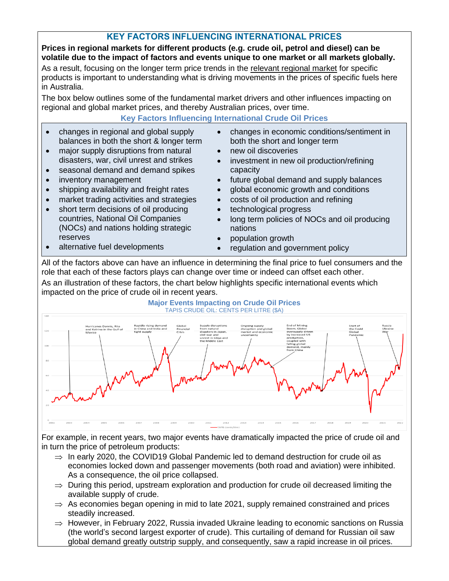## **KEY FACTORS INFLUENCING INTERNATIONAL PRICES**

**Prices in regional markets for different products (e.g. crude oil, petrol and diesel) can be volatile due to the impact of factors and events unique to one market or all markets globally.**

As a result, focusing on the longer term price trends in the relevant regional market for specific products is important to understanding what is driving movements in the prices of specific fuels here in Australia.

The box below outlines some of the fundamental market drivers and other influences impacting on regional and global market prices, and thereby Australian prices, over time.

## **Key Factors Influencing International Crude Oil Prices**

- changes in regional and global supply balances in both the short & longer term
- major supply disruptions from natural disasters, war, civil unrest and strikes
- seasonal demand and demand spikes
- inventory management
- shipping availability and freight rates
- market trading activities and strategies
- short term decisions of oil producing countries, National Oil Companies (NOCs) and nations holding strategic reserves

alternative fuel developments

both the short and longer term • new oil discoveries

• changes in economic conditions/sentiment in

- investment in new oil production/refining capacity
- future global demand and supply balances
- global economic growth and conditions
- costs of oil production and refining
- technological progress
- long term policies of NOCs and oil producing nations
- population growth
- regulation and government policy

All of the factors above can have an influence in determining the final price to fuel consumers and the role that each of these factors plays can change over time or indeed can offset each other.

As an illustration of these factors, the chart below highlights specific international events which impacted on the price of crude oil in recent years.

#### **Major Events Impacting on Crude Oil Prices** TAPIS CRUDE OIL: CENTS PER LITRE (\$A)



For example, in recent years, two major events have dramatically impacted the price of crude oil and in turn the price of petroleum products:

- $\Rightarrow$  In early 2020, the COVID19 Global Pandemic led to demand destruction for crude oil as economies locked down and passenger movements (both road and aviation) were inhibited. As a consequence, the oil price collapsed.
- $\Rightarrow$  During this period, upstream exploration and production for crude oil decreased limiting the available supply of crude.
- $\Rightarrow$  As economies began opening in mid to late 2021, supply remained constrained and prices steadily increased.
- $\Rightarrow$  However, in February 2022, Russia invaded Ukraine leading to economic sanctions on Russia (the world's second largest exporter of crude). This curtailing of demand for Russian oil saw global demand greatly outstrip supply, and consequently, saw a rapid increase in oil prices.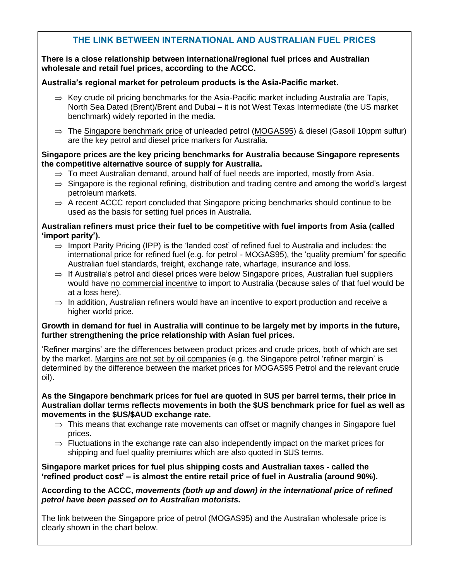## **THE LINK BETWEEN INTERNATIONAL AND AUSTRALIAN FUEL PRICES**

**There is a close relationship between international/regional fuel prices and Australian wholesale and retail fuel prices, according to the ACCC.**

## **Australia's regional market for petroleum products is the Asia-Pacific market.**

- $\Rightarrow$  Key crude oil pricing benchmarks for the Asia-Pacific market including Australia are Tapis, North Sea Dated (Brent)/Brent and Dubai – it is not West Texas Intermediate (the US market benchmark) widely reported in the media.
- $\Rightarrow$  The Singapore benchmark price of unleaded petrol (MOGAS95) & diesel (Gasoil 10ppm sulfur) are the key petrol and diesel price markers for Australia.

#### **Singapore prices are the key pricing benchmarks for Australia because Singapore represents the competitive alternative source of supply for Australia.**

- $\Rightarrow$  To meet Australian demand, around half of fuel needs are imported, mostly from Asia.
- $\Rightarrow$  Singapore is the regional refining, distribution and trading centre and among the world's largest petroleum markets.
- $\Rightarrow$  A recent ACCC report concluded that Singapore pricing benchmarks should continue to be used as the basis for setting fuel prices in Australia.

#### **Australian refiners must price their fuel to be competitive with fuel imports from Asia (called 'import parity').**

- $\Rightarrow$  Import Parity Pricing (IPP) is the 'landed cost' of refined fuel to Australia and includes: the international price for refined fuel (e.g. for petrol - MOGAS95), the 'quality premium' for specific Australian fuel standards, freight, exchange rate, wharfage, insurance and loss.
- $\Rightarrow$  If Australia's petrol and diesel prices were below Singapore prices, Australian fuel suppliers would have no commercial incentive to import to Australia (because sales of that fuel would be at a loss here).
- $\Rightarrow$  In addition, Australian refiners would have an incentive to export production and receive a higher world price.

## **Growth in demand for fuel in Australia will continue to be largely met by imports in the future, further strengthening the price relationship with Asian fuel prices.**

'Refiner margins' are the differences between product prices and crude prices, both of which are set by the market. Margins are not set by oil companies (e.g. the Singapore petrol 'refiner margin' is determined by the difference between the market prices for MOGAS95 Petrol and the relevant crude oil).

#### **As the Singapore benchmark prices for fuel are quoted in \$US per barrel terms, their price in Australian dollar terms reflects movements in both the \$US benchmark price for fuel as well as movements in the \$US/\$AUD exchange rate.**

- $\Rightarrow$  This means that exchange rate movements can offset or magnify changes in Singapore fuel prices.
- $\Rightarrow$  Fluctuations in the exchange rate can also independently impact on the market prices for shipping and fuel quality premiums which are also quoted in \$US terms.

## **Singapore market prices for fuel plus shipping costs and Australian taxes - called the 'refined product cost' – is almost the entire retail price of fuel in Australia (around 90%).**

**According to the ACCC,** *movements (both up and down) in the international price of refined petrol have been passed on to Australian motorists.*

The link between the Singapore price of petrol (MOGAS95) and the Australian wholesale price is clearly shown in the chart below.